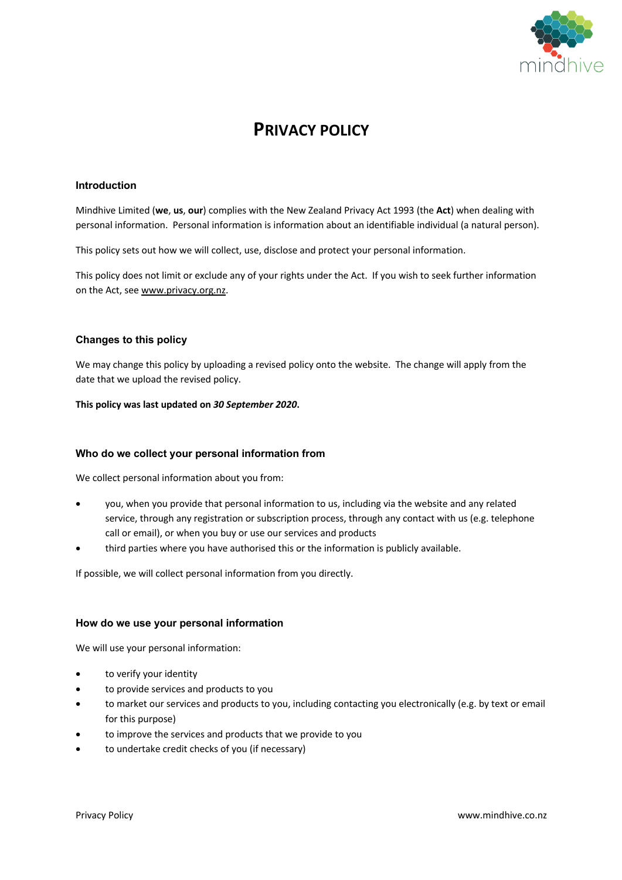

# **PRIVACY POLICY**

### **Introduction**

Mindhive Limited (**we**, **us**, **our**) complies with the New Zealand Privacy Act 1993 (the **Act**) when dealing with personal information. Personal information is information about an identifiable individual (a natural person).

This policy sets out how we will collect, use, disclose and protect your personal information.

This policy does not limit or exclude any of your rights under the Act. If you wish to seek further information on the Act, see www.privacy.org.nz.

#### **Changes to this policy**

We may change this policy by uploading a revised policy onto the website. The change will apply from the date that we upload the revised policy.

#### **This policy was last updated on** *30 September 2020***.**

#### **Who do we collect your personal information from**

We collect personal information about you from:

- you, when you provide that personal information to us, including via the website and any related service, through any registration or subscription process, through any contact with us (e.g. telephone call or email), or when you buy or use our services and products
- third parties where you have authorised this or the information is publicly available.

If possible, we will collect personal information from you directly.

#### **How do we use your personal information**

We will use your personal information:

- to verify your identity
- to provide services and products to you
- to market our services and products to you, including contacting you electronically (e.g. by text or email for this purpose)
- to improve the services and products that we provide to you
- to undertake credit checks of you (if necessary)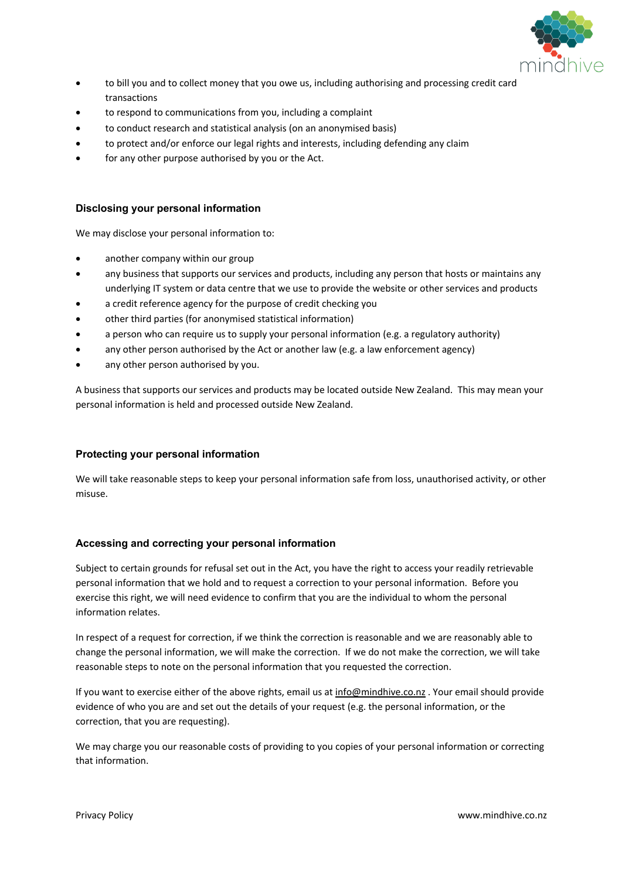

- to bill you and to collect money that you owe us, including authorising and processing credit card transactions
- to respond to communications from you, including a complaint
- to conduct research and statistical analysis (on an anonymised basis)
- to protect and/or enforce our legal rights and interests, including defending any claim
- for any other purpose authorised by you or the Act.

## **Disclosing your personal information**

We may disclose your personal information to:

- another company within our group
- any business that supports our services and products, including any person that hosts or maintains any underlying IT system or data centre that we use to provide the website or other services and products
- a credit reference agency for the purpose of credit checking you
- other third parties (for anonymised statistical information)
- a person who can require us to supply your personal information (e.g. a regulatory authority)
- any other person authorised by the Act or another law (e.g. a law enforcement agency)
- any other person authorised by you.

A business that supports our services and products may be located outside New Zealand. This may mean your personal information is held and processed outside New Zealand.

## **Protecting your personal information**

We will take reasonable steps to keep your personal information safe from loss, unauthorised activity, or other misuse.

## **Accessing and correcting your personal information**

Subject to certain grounds for refusal set out in the Act, you have the right to access your readily retrievable personal information that we hold and to request a correction to your personal information. Before you exercise this right, we will need evidence to confirm that you are the individual to whom the personal information relates.

In respect of a request for correction, if we think the correction is reasonable and we are reasonably able to change the personal information, we will make the correction. If we do not make the correction, we will take reasonable steps to note on the personal information that you requested the correction.

If you want to exercise either of the above rights, email us at info@mindhive.co.nz . Your email should provide evidence of who you are and set out the details of your request (e.g. the personal information, or the correction, that you are requesting).

We may charge you our reasonable costs of providing to you copies of your personal information or correcting that information.